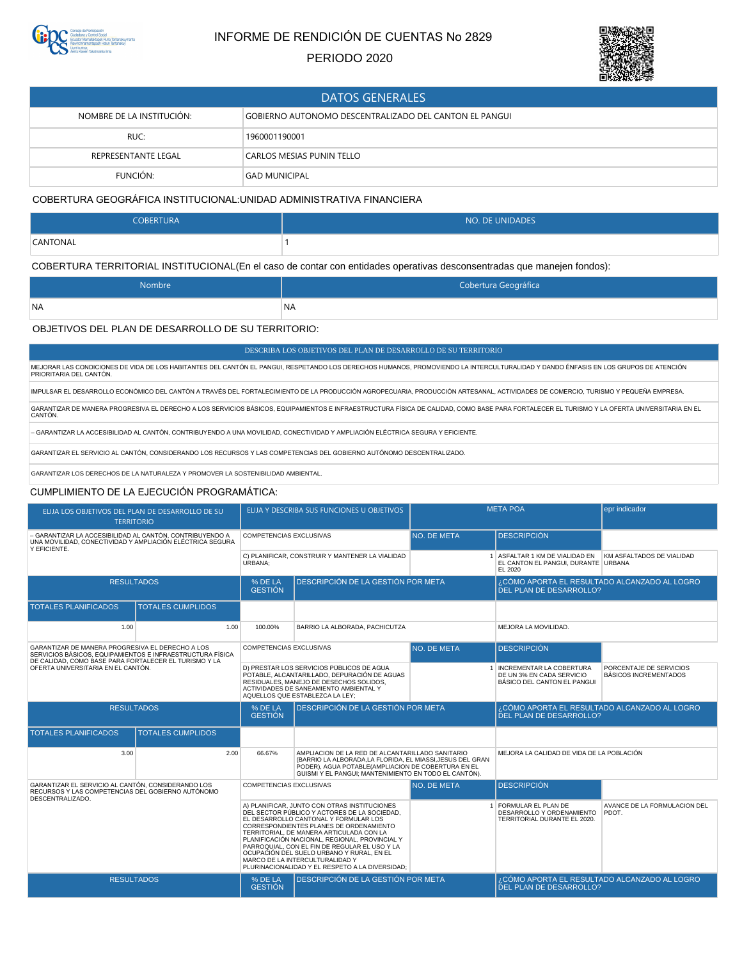

# INFORME DE RENDICIÓN DE CUENTAS No 2829

## PERIODO 2020



| <b>DATOS GENERALES</b>                                                              |                                  |  |  |
|-------------------------------------------------------------------------------------|----------------------------------|--|--|
| NOMBRE DE LA INSTITUCIÓN:<br>GOBIERNO AUTONOMO DESCENTRALIZADO DEL CANTON EL PANGUI |                                  |  |  |
| RUC:                                                                                | 1960001190001                    |  |  |
| REPRESENTANTE LEGAL                                                                 | <b>CARLOS MESIAS PUNIN TELLO</b> |  |  |
| FUNCIÓN:                                                                            | GAD MUNICIPAL                    |  |  |

### COBERTURA GEOGRÁFICA INSTITUCIONAL:UNIDAD ADMINISTRATIVA FINANCIERA

| <b>COBERTURA</b> | NO. DE UNIDADES |
|------------------|-----------------|
| CANTONAL         |                 |

COBERTURA TERRITORIAL INSTITUCIONAL(En el caso de contar con entidades operativas desconsentradas que manejen fondos):

| Nombre    | Cobertura Geográfica |
|-----------|----------------------|
| <b>NA</b> | <b>NA</b>            |

#### OBJETIVOS DEL PLAN DE DESARROLLO DE SU TERRITORIO:

DESCRIBA LOS OBJETIVOS DEL PLAN DE DESARROLLO DE SU TERRITORIO

MEJORAR LAS CONDICIONES DE VIDA DE LOS HABITANTES DEL CANTÓN EL PANGUI, RESPETANDO LOS DERECHOS HUMANOS, PROMOVIENDO LA INTERCULTURALIDAD Y DANDO ÉNFASIS EN LOS GRUPOS DE ATENCIÓN<br>PRIORITARIA DEL CANTÓN.

IMPULSAR EL DESARROLLO ECONÓMICO DEL CANTÓN A TRAVÉS DEL FORTALECIMIENTO DE LA PRODUCCIÓN AGROPECUARIA, PRODUCCIÓN ARTESANAL, ACTIVIDADES DE COMERCIO, TURISMO Y PEQUEÑA EMPRESA.

GARANTIZAR DE MANERA PROGRESIVA EL DERECHO A LOS SERVICIOS BÁSICOS, EQUIPAMIENTOS E INFRAESTRUCTURA FÍSICA DE CALIDAD, COMO BASE PARA FORTALECER EL TURISMO Y LA OFERTA UNIVERSITARIA EN EL CANTÓN.

– GARANTIZAR LA ACCESIBILIDAD AL CANTÓN, CONTRIBUYENDO A UNA MOVILIDAD, CONECTIVIDAD Y AMPLIACIÓN ELÉCTRICA SEGURA Y EFICIENTE.

GARANTIZAR EL SERVICIO AL CANTÓN, CONSIDERANDO LOS RECURSOS Y LAS COMPETENCIAS DEL GOBIERNO AUTÓNOMO DESCENTRALIZADO.

GARANTIZAR LOS DERECHOS DE LA NATURALEZA Y PROMOVER LA SOSTENIBILIDAD AMBIENTAL.

#### CUMPLIMIENTO DE LA EJECUCIÓN PROGRAMÁTICA:

| ELIJA LOS OBJETIVOS DEL PLAN DE DESARROLLO DE SU<br><b>TERRITORIO</b>                                                                                                  |                          |                                                                                                                                                                                                                   | ELIJA Y DESCRIBA SUS FUNCIONES U OBJETIVOS                                                                                                                                                                                                                                                                                                                                                                                                                                                               |             | <b>META POA</b>                                                                                                                  | epr indicador                                           |
|------------------------------------------------------------------------------------------------------------------------------------------------------------------------|--------------------------|-------------------------------------------------------------------------------------------------------------------------------------------------------------------------------------------------------------------|----------------------------------------------------------------------------------------------------------------------------------------------------------------------------------------------------------------------------------------------------------------------------------------------------------------------------------------------------------------------------------------------------------------------------------------------------------------------------------------------------------|-------------|----------------------------------------------------------------------------------------------------------------------------------|---------------------------------------------------------|
| - GARANTIZAR LA ACCESIBILIDAD AL CANTÓN, CONTRIBUYENDO A<br>UNA MOVILIDAD, CONECTIVIDAD Y AMPLIACIÓN ELÉCTRICA SEGURA<br>Y EFICIENTE.                                  |                          | <b>COMPETENCIAS EXCLUSIVAS</b>                                                                                                                                                                                    |                                                                                                                                                                                                                                                                                                                                                                                                                                                                                                          | NO. DE META | <b>DESCRIPCIÓN</b>                                                                                                               |                                                         |
|                                                                                                                                                                        |                          | C) PLANIFICAR, CONSTRUIR Y MANTENER LA VIALIDAD<br>URBANA:                                                                                                                                                        |                                                                                                                                                                                                                                                                                                                                                                                                                                                                                                          |             | 1 ASFALTAR 1 KM DE VIALIDAD EN KM ASFALTADOS DE VIALIDAD<br>EL CANTON EL PANGUI, DURANTE URBANA<br>EL 2020                       |                                                         |
| <b>RESULTADOS</b>                                                                                                                                                      |                          | % DE LA<br><b>GESTIÓN</b>                                                                                                                                                                                         | DESCRIPCIÓN DE LA GESTIÓN POR META                                                                                                                                                                                                                                                                                                                                                                                                                                                                       |             | ¿CÓMO APORTA EL RESULTADO ALCANZADO AL LOGRO<br>DEL PLAN DE DESARROLLO?                                                          |                                                         |
| <b>TOTALES PLANIFICADOS</b>                                                                                                                                            | <b>TOTALES CUMPLIDOS</b> |                                                                                                                                                                                                                   |                                                                                                                                                                                                                                                                                                                                                                                                                                                                                                          |             |                                                                                                                                  |                                                         |
| 1.00                                                                                                                                                                   | 1.00                     | 100.00%                                                                                                                                                                                                           | BARRIO LA ALBORADA, PACHICUTZA                                                                                                                                                                                                                                                                                                                                                                                                                                                                           |             | MEJORA LA MOVILIDAD.                                                                                                             |                                                         |
| GARANTIZAR DE MANERA PROGRESIVA EL DERECHO A LOS<br>SERVICIOS BÁSICOS. EQUIPAMIENTOS E INFRAESTRUCTURA FÍSICA<br>DE CALIDAD, COMO BASE PARA FORTALECER EL TURISMO Y LA |                          | <b>COMPETENCIAS EXCLUSIVAS</b>                                                                                                                                                                                    |                                                                                                                                                                                                                                                                                                                                                                                                                                                                                                          | NO. DE META | <b>DESCRIPCIÓN</b>                                                                                                               |                                                         |
| OFERTA UNIVERSITARIA EN EL CANTÓN.                                                                                                                                     |                          | D) PRESTAR LOS SERVICIOS PÚBLICOS DE AGUA<br>POTABLE, ALCANTARILLADO, DEPURACIÓN DE AGUAS<br>RESIDUALES, MANEJO DE DESECHOS SOLIDOS,<br>ACTIVIDADES DE SANEAMIENTO AMBIENTAL Y<br>AQUELLOS QUE ESTABLEZCA LA LEY: |                                                                                                                                                                                                                                                                                                                                                                                                                                                                                                          |             | 1 INCREMENTAR LA COBERTURA<br>DE UN 3% EN CADA SERVICIO<br>BÁSICO DEL CANTON EL PANGUI                                           | PORCENTAJE DE SERVICIOS<br><b>BÁSICOS INCREMENTADOS</b> |
|                                                                                                                                                                        | <b>RESULTADOS</b>        |                                                                                                                                                                                                                   |                                                                                                                                                                                                                                                                                                                                                                                                                                                                                                          |             |                                                                                                                                  |                                                         |
|                                                                                                                                                                        |                          | % DE LA<br><b>GESTIÓN</b>                                                                                                                                                                                         | DESCRIPCIÓN DE LA GESTIÓN POR META                                                                                                                                                                                                                                                                                                                                                                                                                                                                       |             | ¿CÓMO APORTA EL RESULTADO ALCANZADO AL LOGRO<br>DEL PLAN DE DESARROLLO?                                                          |                                                         |
| <b>TOTALES PLANIFICADOS</b>                                                                                                                                            | <b>TOTALES CUMPLIDOS</b> |                                                                                                                                                                                                                   |                                                                                                                                                                                                                                                                                                                                                                                                                                                                                                          |             |                                                                                                                                  |                                                         |
| 3.00                                                                                                                                                                   | 2.00                     | 66.67%                                                                                                                                                                                                            | AMPLIACION DE LA RED DE ALCANTARILLADO SANITARIO<br>(BARRIO LA ALBORADA.LA FLORIDA, EL MIASSI, JESUS DEL GRAN<br>PODER), AGUA POTABLE(AMPLIACION DE COBERTURA EN EL<br>GUISMI Y EL PANGUI; MANTENIMIENTO EN TODO EL CANTÓN).                                                                                                                                                                                                                                                                             |             | MEJORA LA CALIDAD DE VIDA DE LA POBLACIÓN                                                                                        |                                                         |
| GARANTIZAR EL SERVICIO AL CANTÓN, CONSIDERANDO LOS<br>RECURSOS Y LAS COMPETENCIAS DEL GOBIERNO AUTÓNOMO<br>DESCENTRALIZADO.                                            |                          | <b>COMPETENCIAS EXCLUSIVAS</b>                                                                                                                                                                                    |                                                                                                                                                                                                                                                                                                                                                                                                                                                                                                          | NO. DE META | <b>DESCRIPCIÓN</b>                                                                                                               |                                                         |
|                                                                                                                                                                        |                          |                                                                                                                                                                                                                   | A) PLANIFICAR, JUNTO CON OTRAS INSTITUCIONES<br>DEL SECTOR PÚBLICO Y ACTORES DE LA SOCIEDAD,<br>EL DESARROLLO CANTONAL Y FORMULAR LOS<br>CORRESPONDIENTES PLANES DE ORDENAMIENTO<br>TERRITORIAL, DE MANERA ARTICULADA CON LA<br>PLANIFICACIÓN NACIONAL, REGIONAL, PROVINCIAL Y<br>PARROQUIAL, CON EL FIN DE REGULAR EL USO Y LA<br>OCUPACIÓN DEL SUELO URBANO Y RURAL, EN EL<br>MARCO DE LA INTERCULTURALIDAD Y<br>PLURINACIONALIDAD Y EL RESPETO A LA DIVERSIDAD:<br>DESCRIPCIÓN DE LA GESTIÓN POR META |             | FORMULAR EL PLAN DE<br>DESARROLLO Y ORDENAMIENTO<br>TERRITORIAL DURANTE EL 2020.<br>¿CÓMO APORTA EL RESULTADO ALCANZADO AL LOGRO | AVANCE DE LA FORMULACION DEL<br>PDOT.                   |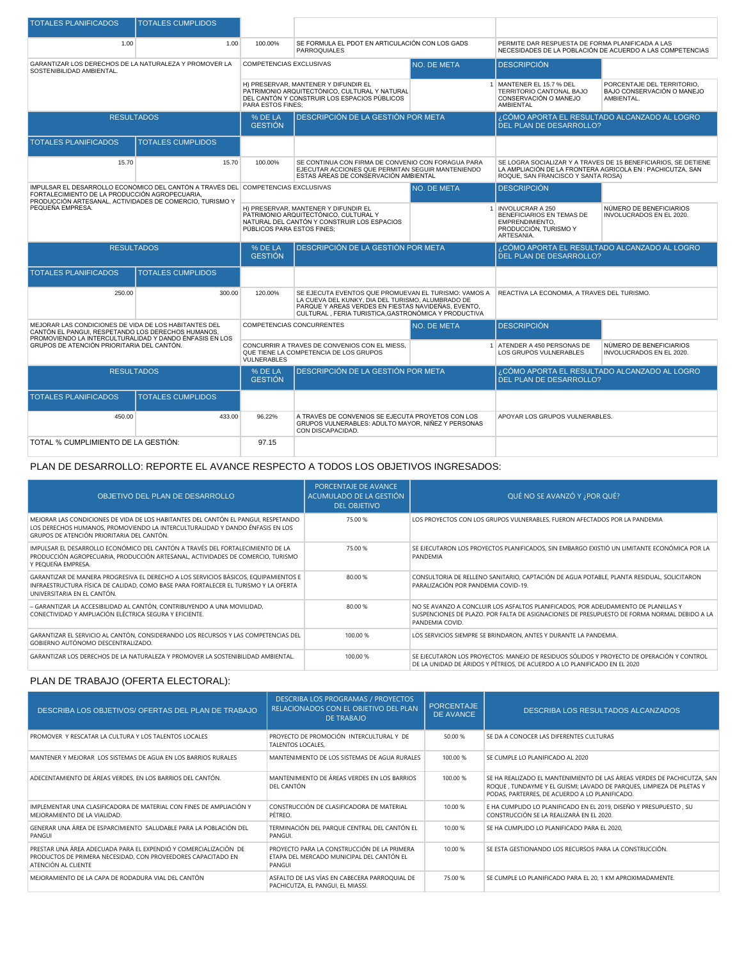| <b>TOTALES PLANIFICADOS</b>                                                                                                        | <b>TOTALES CUMPLIDOS</b> |                                                                                                                                                            |                                                                                                                                                                                                                          |                                                                                                           |                                                                                                                                                                      |                                                                |  |
|------------------------------------------------------------------------------------------------------------------------------------|--------------------------|------------------------------------------------------------------------------------------------------------------------------------------------------------|--------------------------------------------------------------------------------------------------------------------------------------------------------------------------------------------------------------------------|-----------------------------------------------------------------------------------------------------------|----------------------------------------------------------------------------------------------------------------------------------------------------------------------|----------------------------------------------------------------|--|
| 1.00                                                                                                                               | 1.00                     | 100.00%                                                                                                                                                    | SE FORMULA EL PDOT EN ARTICULACIÓN CON LOS GADS<br>PARROQUIALES                                                                                                                                                          |                                                                                                           | PERMITE DAR RESPUESTA DE FORMA PLANIFICADA A LAS                                                                                                                     | NECESIDADES DE LA POBLACIÓN DE ACUERDO A LAS COMPETENCIAS      |  |
| GARANTIZAR LOS DERECHOS DE LA NATURALEZA Y PROMOVER LA<br>SOSTENIBILIDAD AMBIENTAL.                                                |                          | <b>COMPETENCIAS EXCLUSIVAS</b><br>NO. DE META                                                                                                              |                                                                                                                                                                                                                          | <b>DESCRIPCIÓN</b>                                                                                        |                                                                                                                                                                      |                                                                |  |
|                                                                                                                                    |                          | <b>PARA ESTOS FINES:</b>                                                                                                                                   | H) PRESERVAR, MANTENER Y DIFUNDIR EL<br>PATRIMONIO ARQUITECTÓNICO, CULTURAL Y NATURAL<br>DEL CANTÓN Y CONSTRUIR LOS ESPACIOS PÚBLICOS                                                                                    |                                                                                                           | 1 MANTENER EL 15.7 % DEL<br>PORCENTAJE DEL TERRITORIO.<br>BAJO CONSERVACIÓN O MANEJO<br>TERRITORIO CANTONAL BAJO<br>AMBIENTAL.<br>CONSERVACIÓN O MANEJO<br>AMBIENTAL |                                                                |  |
| <b>RESULTADOS</b>                                                                                                                  |                          | % DE LA<br><b>GESTIÓN</b>                                                                                                                                  | DESCRIPCIÓN DE LA GESTIÓN POR META                                                                                                                                                                                       |                                                                                                           | ¿CÓMO APORTA EL RESULTADO ALCANZADO AL LOGRO<br>DEL PLAN DE DESARROLLO?                                                                                              |                                                                |  |
| <b>TOTALES PLANIFICADOS</b>                                                                                                        | <b>TOTALES CUMPLIDOS</b> |                                                                                                                                                            |                                                                                                                                                                                                                          |                                                                                                           |                                                                                                                                                                      |                                                                |  |
| 15.70                                                                                                                              | 15.70                    | 100.00%                                                                                                                                                    | SE CONTINUA CON FIRMA DE CONVENIO CON FORAGUA PARA<br>EJECUTAR ACCIONES QUE PERMITAN SEGUIR MANTENIENDO<br>ESTAS ÁREAS DE CONSERVACIÓN AMBIENTAL                                                                         |                                                                                                           | LA AMPLIACIÓN DE LA FRONTERA AGRICOLA EN : PACHICUTZA, SAN<br>ROQUE, SAN FRANCISCO Y SANTA ROSA)                                                                     | SE LOGRA SOCIALIZAR Y A TRAVES DE 15 BENEFICIARIOS, SE DETIENE |  |
| IMPULSAR EL DESARROLLO ECONÓMICO DEL CANTÓN A TRAVÉS DEL COMPETENCIAS EXCLUSIVAS<br>FORTALECIMIENTO DE LA PRODUCCIÓN AGROPECUARIA. |                          |                                                                                                                                                            |                                                                                                                                                                                                                          | NO. DE META                                                                                               | <b>DESCRIPCIÓN</b>                                                                                                                                                   |                                                                |  |
| PRODUCCIÓN ARTESANAL. ACTIVIDADES DE COMERCIO. TURISMO Y<br>PEQUEÑA EMPRESA.                                                       |                          | H) PRESERVAR, MANTENER Y DIFUNDIR EL<br>PATRIMONIO ARQUITECTÓNICO, CULTURAL Y<br>NATURAL DEL CANTÓN Y CONSTRUIR LOS ESPACIOS<br>PÚBLICOS PARA ESTOS FINES; |                                                                                                                                                                                                                          | 1 INVOLUCRAR A 250<br>BENEFICIARIOS EN TEMAS DE<br>EMPRENDIMIENTO.<br>PRODUCCIÓN, TURISMO Y<br>ARTESANIA. | NÚMERO DE BENEFICIARIOS<br>INVOLUCRADOS EN EL 2020.                                                                                                                  |                                                                |  |
| <b>RESULTADOS</b>                                                                                                                  |                          |                                                                                                                                                            |                                                                                                                                                                                                                          |                                                                                                           |                                                                                                                                                                      |                                                                |  |
|                                                                                                                                    |                          | % DE LA<br><b>GESTIÓN</b>                                                                                                                                  | DESCRIPCIÓN DE LA GESTIÓN POR META                                                                                                                                                                                       |                                                                                                           | ¿CÓMO APORTA EL RESULTADO ALCANZADO AL LOGRO<br>DEL PLAN DE DESARROLLO?                                                                                              |                                                                |  |
| <b>TOTALES PLANIFICADOS</b>                                                                                                        | <b>TOTALES CUMPLIDOS</b> |                                                                                                                                                            |                                                                                                                                                                                                                          |                                                                                                           |                                                                                                                                                                      |                                                                |  |
| 250.00                                                                                                                             | 300.00                   | 120.00%                                                                                                                                                    | SE EJECUTA EVENTOS QUE PROMUEVAN EL TURISMO: VAMOS A<br>LA CUEVA DEL KUNKY, DIA DEL TURISMO, ALUMBRADO DE<br>PARQUE Y AREAS VERDES EN FIESTAS NAVIDEÑAS, EVENTO,<br>CULTURAL . FERIA TURISTICA.GASTRONÓMICA Y PRODUCTIVA |                                                                                                           | REACTIVA LA ECONOMIA, A TRAVES DEL TURISMO.                                                                                                                          |                                                                |  |
| MEJORAR LAS CONDICIONES DE VIDA DE LOS HABITANTES DEL<br>CANTÓN EL PANGUI, RESPETANDO LOS DERECHOS HUMANOS,                        |                          | <b>COMPETENCIAS CONCURRENTES</b>                                                                                                                           |                                                                                                                                                                                                                          | NO. DE META                                                                                               | <b>DESCRIPCIÓN</b>                                                                                                                                                   |                                                                |  |
| PROMOVIENDO LA INTERCULTURALIDAD Y DANDO ÉNFASIS EN LOS<br>GRUPOS DE ATENCIÓN PRIORITARIA DEL CANTÓN.                              |                          | <b>VULNERABLES</b>                                                                                                                                         | CONCURRIR A TRAVES DE CONVENIOS CON EL MIESS,<br>QUE TIENE LA COMPETENCIA DE LOS GRUPOS                                                                                                                                  |                                                                                                           | 1 ATENDER A 450 PERSONAS DE<br>LOS GRUPOS VULNERABLES                                                                                                                | NÚMERO DE BENEFICIARIOS<br>INVOLUCRADOS EN EL 2020.            |  |
| <b>RESULTADOS</b>                                                                                                                  |                          | % DE LA<br><b>GESTIÓN</b>                                                                                                                                  | <b>DESCRIPCIÓN DE LA GESTIÓN POR META</b>                                                                                                                                                                                |                                                                                                           | ¿CÓMO APORTA EL RESULTADO ALCANZADO AL LOGRO<br><b>DEL PLAN DE DESARROLLO?</b>                                                                                       |                                                                |  |
| <b>TOTALES PLANIFICADOS</b>                                                                                                        | <b>TOTALES CUMPLIDOS</b> |                                                                                                                                                            |                                                                                                                                                                                                                          |                                                                                                           |                                                                                                                                                                      |                                                                |  |
| 450.00                                                                                                                             | 433.00                   | 96.22%                                                                                                                                                     | A TRAVÉS DE CONVENIOS SE EJECUTA PROYETOS CON LOS<br>GRUPOS VULNERABLES: ADULTO MAYOR, NIÑEZ Y PERSONAS<br>CON DISCAPACIDAD.                                                                                             |                                                                                                           | APOYAR LOS GRUPOS VULNERABLES.                                                                                                                                       |                                                                |  |

## PLAN DE DESARROLLO: REPORTE EL AVANCE RESPECTO A TODOS LOS OBJETIVOS INGRESADOS:

| OBJETIVO DEL PLAN DE DESARROLLO                                                                                                                                                                                   | PORCENTAJE DE AVANCE<br>ACUMULADO DE LA GESTIÓN<br><b>DEL OBJETIVO</b> | QUÉ NO SE AVANZÓ Y ¿POR QUÉ?                                                                                                                                                                         |
|-------------------------------------------------------------------------------------------------------------------------------------------------------------------------------------------------------------------|------------------------------------------------------------------------|------------------------------------------------------------------------------------------------------------------------------------------------------------------------------------------------------|
| MEJORAR LAS CONDICIONES DE VIDA DE LOS HABITANTES DEL CANTÓN EL PANGUI, RESPETANDO<br>LOS DERECHOS HUMANOS, PROMOVIENDO LA INTERCULTURALIDAD Y DANDO ÉNFASIS EN LOS<br>GRUPOS DE ATENCIÓN PRIORITARIA DEL CANTÓN. | 75.00 %                                                                | LOS PROYECTOS CON LOS GRUPOS VULNERABLES, FUERON AFECTADOS POR LA PANDEMIA                                                                                                                           |
| IMPULSAR EL DESARROLLO ECONÓMICO DEL CANTÓN A TRAVÉS DEL FORTALECIMIENTO DE LA<br>PRODUCCIÓN AGROPECUARIA, PRODUCCIÓN ARTESANAL, ACTIVIDADES DE COMERCIO, TURISMO<br>Y PEOUEÑA EMPRESA.                           | 75.00 %                                                                | SE EJECUTARON LOS PROYECTOS PLANIFICADOS, SIN EMBARGO EXISTIÓ UN LIMITANTE ECONÓMICA POR LA<br>PANDEMIA                                                                                              |
| GARANTIZAR DE MANERA PROGRESIVA EL DERECHO A LOS SERVICIOS BÁSICOS. EQUIPAMIENTOS E<br>INFRAESTRUCTURA FÍSICA DE CALIDAD, COMO BASE PARA FORTALECER EL TURISMO Y LA OFERTA<br>UNIVERSITARIA EN EL CANTÓN.         | 80.00 %                                                                | CONSULTORIA DE RELLENO SANITARIO, CAPTACIÓN DE AGUA POTABLE, PLANTA RESIDUAL, SOLICITARON<br>PARALIZACIÓN POR PANDEMIA COVID-19.                                                                     |
| - GARANTIZAR LA ACCESIBILIDAD AL CANTÓN, CONTRIBUYENDO A UNA MOVILIDAD,<br>CONECTIVIDAD Y AMPLIACIÓN ELÉCTRICA SEGURA Y EFICIENTE.                                                                                | 80.00 %                                                                | NO SE AVANZO A CONCLUIR LOS ASFALTOS PLANIFICADOS, POR ADEUDAMIENTO DE PLANILLAS Y<br>SUSPENCIONES DE PLAZO. POR FALTA DE ASIGNACIONES DE PRESUPUESTO DE FORMA NORMAL DEBIDO A LA<br>PANDEMIA COVID. |
| GARANTIZAR EL SERVICIO AL CANTÓN, CONSIDERANDO LOS RECURSOS Y LAS COMPETENCIAS DEL<br>GOBIERNO AUTÓNOMO DESCENTRALIZADO.                                                                                          | 100.00 %                                                               | LOS SERVICIOS SIEMPRE SE BRINDARON, ANTES Y DURANTE LA PANDEMIA.                                                                                                                                     |
| GARANTIZAR LOS DERECHOS DE LA NATURALEZA Y PROMOVER LA SOSTENIBILIDAD AMBIENTAL                                                                                                                                   | 100.00 %                                                               | SE EJECUTARON LOS PROYECTOS: MANEJO DE RESIDUOS SÓLIDOS Y PROYECTO DE OPERACIÓN Y CONTROL<br>DE LA UNIDAD DE ÁRIDOS Y PÉTREOS. DE ACUERDO A LO PLANIFICADO EN EL 2020                                |

## PLAN DE TRABAJO (OFERTA ELECTORAL):

| DESCRIBA LOS OBJETIVOS/ OFERTAS DEL PLAN DE TRABAJO                                                                                                      | DESCRIBA LOS PROGRAMAS / PROYECTOS<br>RELACIONADOS CON EL OBJETIVO DEL PLAN<br><b>DE TRABAJO</b>   | <b>PORCENTAJE</b><br><b>DE AVANCE</b> | DESCRIBA LOS RESULTADOS ALCANZADOS                                                                                                                                                                 |
|----------------------------------------------------------------------------------------------------------------------------------------------------------|----------------------------------------------------------------------------------------------------|---------------------------------------|----------------------------------------------------------------------------------------------------------------------------------------------------------------------------------------------------|
| PROMOVER Y RESCATAR LA CULTURA Y LOS TALENTOS LOCALES                                                                                                    | PROYECTO DE PROMOCIÓN INTERCULTURAL Y DE<br>TALENTOS LOCALES.                                      | 50.00 %                               | SE DA A CONOCER LAS DIFERENTES CULTURAS                                                                                                                                                            |
| MANTENER Y MEJORAR LOS SISTEMAS DE AGUA EN LOS BARRIOS RURALES                                                                                           | MANTENIMIENTO DE LOS SISTEMAS DE AGUA RURALES                                                      | 100.00 %                              | SE CUMPLE LO PLANIFICADO AL 2020                                                                                                                                                                   |
| ADECENTAMIENTO DE ÁREAS VERDES, EN LOS BARRIOS DEL CANTÓN.                                                                                               | MANTENIMIENTO DE ÁREAS VERDES EN LOS BARRIOS<br>DEL CANTÓN                                         | 100.00 %                              | SE HA REALIZADO EL MANTENIMIENTO DE LAS ÁREAS VERDES DE PACHICUTZA, SAN<br>ROQUE, TUNDAYME Y EL GUISMI; LAVADO DE PARQUES, LIMPIEZA DE PILETAS Y<br>PODAS, PARTERRES, DE ACUERDO A LO PLANIFICADO. |
| IMPLEMENTAR UNA CLASIFICADORA DE MATERIAL CON FINES DE AMPLIACIÓN Y<br>MEJORAMIENTO DE LA VIALIDAD.                                                      | CONSTRUCCIÓN DE CLASIFICADORA DE MATERIAL<br>PÉTREO.                                               | 10.00 %                               | E HA CUMPLIDO LO PLANIFICADO EN EL 2019, DISEÑO Y PRESUPUESTO, SU<br>CONSTRUCCIÓN SE LA REALIZARÁ EN EL 2020.                                                                                      |
| GENERAR UNA ÁREA DE ESPARCIMIENTO SALUDABLE PARA LA POBLACIÓN DEL<br>PANGUL                                                                              | TERMINACIÓN DEL PARQUE CENTRAL DEL CANTÓN EL<br>PANGUI.                                            | 10.00 %                               | SE HA CUMPLIDO LO PLANIFICADO PARA EL 2020.                                                                                                                                                        |
| PRESTAR UNA ÁREA ADECUADA PARA EL EXPENDIÓ Y COMERCIALIZACIÓN DE<br>PRODUCTOS DE PRIMERA NECESIDAD, CON PROVEEDORES CAPACITADO EN<br>ATENCIÓN AL CLIENTE | PROYECTO PARA LA CONSTRUCCIÓN DE LA PRIMERA<br>ETAPA DEL MERCADO MUNICIPAL DEL CANTÓN EL<br>PANGUI | 10.00 %                               | SE ESTA GESTIONANDO LOS RECURSOS PARA LA CONSTRUCCIÓN.                                                                                                                                             |
| MEJORAMIENTO DE LA CAPA DE RODADURA VIAL DEL CANTÓN                                                                                                      | ASFALTO DE LAS VÍAS EN CABECERA PARROQUIAL DE<br>PACHICUTZA, EL PANGUI, EL MIASSI.                 | 75.00 %                               | SE CUMPLE LO PLANIFICADO PARA EL 20, 1 KM APROXIMADAMENTE.                                                                                                                                         |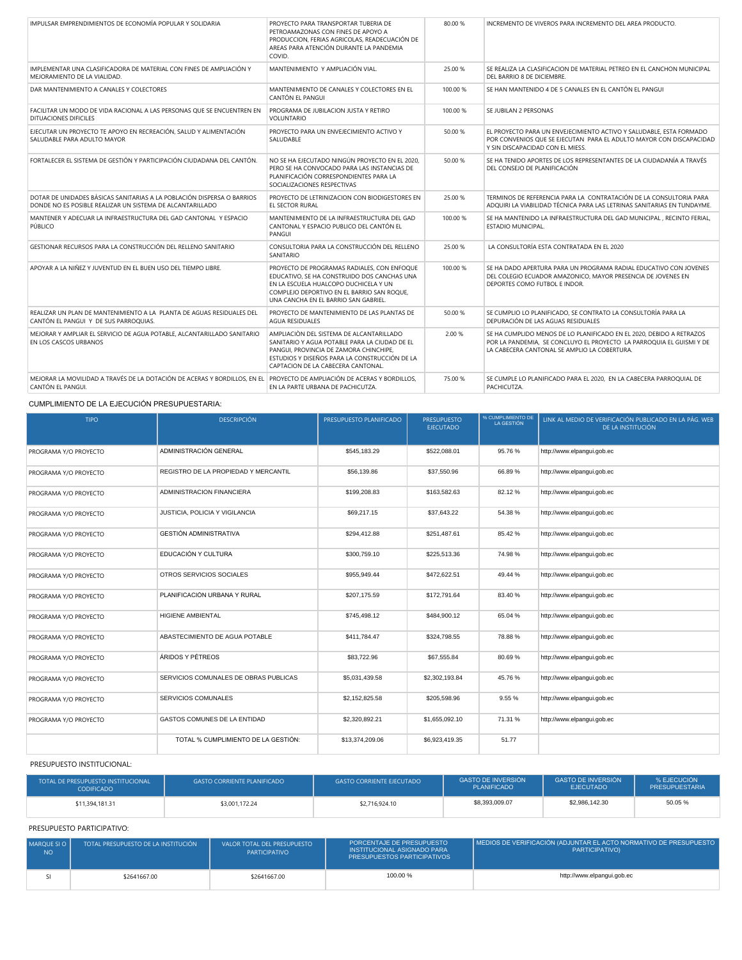| IMPULSAR EMPRENDIMIENTOS DE ECONOMÍA POPULAR Y SOLIDARIA                                                                                     | PROYECTO PARA TRANSPORTAR TUBERIA DE<br>PETROAMAZONAS CON FINES DE APOYO A<br>PRODUCCION, FERIAS AGRICOLAS, READECUACIÓN DE<br>AREAS PARA ATENCIÓN DURANTE LA PANDEMIA<br>COVID.                                           | 80.00%   | INCREMENTO DE VIVEROS PARA INCREMENTO DEL AREA PRODUCTO.                                                                                                                                     |
|----------------------------------------------------------------------------------------------------------------------------------------------|----------------------------------------------------------------------------------------------------------------------------------------------------------------------------------------------------------------------------|----------|----------------------------------------------------------------------------------------------------------------------------------------------------------------------------------------------|
| IMPLEMENTAR UNA CLASIFICADORA DE MATERIAL CON FINES DE AMPLIACIÓN Y<br>MEJORAMIENTO DE LA VIALIDAD.                                          | MANTENIMIENTO Y AMPLIACIÓN VIAL.                                                                                                                                                                                           | 25.00 %  | SE REALIZA LA CLASIFICACION DE MATERIAL PETREO EN EL CANCHON MUNICIPAL<br>DEL BARRIO 8 DE DICIEMBRE.                                                                                         |
| DAR MANTENIMIENTO A CANALES Y COLECTORES                                                                                                     | MANTENIMIENTO DE CANALES Y COLECTORES EN EL<br>CANTÓN EL PANGUI                                                                                                                                                            | 100.00 % | SE HAN MANTENIDO 4 DE 5 CANALES EN EL CANTÓN EL PANGUI                                                                                                                                       |
| FACILITAR UN MODO DE VIDA RACIONAL A LAS PERSONAS QUE SE ENCUENTREN EN<br>DITUACIONES DIFICILES                                              | PROGRAMA DE JUBILACION JUSTA Y RETIRO<br><b>VOLUNTARIO</b>                                                                                                                                                                 | 100.00 % | SE JUBILAN 2 PERSONAS                                                                                                                                                                        |
| EJECUTAR UN PROYECTO TE APOYO EN RECREACIÓN, SALUD Y ALIMENTACIÓN<br>SALUDABLE PARA ADULTO MAYOR                                             | PROYECTO PARA UN ENVEJECIMIENTO ACTIVO Y<br>SALUDABLE                                                                                                                                                                      | 50.00 %  | EL PROYECTO PARA UN ENVEJECIMIENTO ACTIVO Y SALUDABLE. ESTA FORMADO<br>POR CONVENIOS QUE SE EJECUTAN PARA EL ADULTO MAYOR CON DISCAPACIDAD<br>Y SIN DISCAPACIDAD CON EL MIESS.               |
| FORTALECER EL SISTEMA DE GESTIÓN Y PARTICIPACIÓN CIUDADANA DEL CANTÓN.                                                                       | NO SE HA EJECUTADO NINGÚN PROYECTO EN EL 2020.<br>PERO SE HA CONVOCADO PARA LAS INSTANCIAS DE<br>PLANIFICACIÓN CORRESPONDIENTES PARA LA<br>SOCIALIZACIONES RESPECTIVAS                                                     | 50.00%   | SE HA TENIDO APORTES DE LOS REPRESENTANTES DE LA CIUDADANÍA A TRAVÉS<br>DEL CONSEJO DE PLANIFICACIÓN                                                                                         |
| DOTAR DE UNIDADES BÁSICAS SANITARIAS A LA POBLACIÓN DISPERSA O BARRIOS<br>DONDE NO ES POSIBLE REALIZAR UN SISTEMA DE ALCANTARILLADO          | PROYECTO DE LETRINIZACION CON BIODIGESTORES EN<br>EL SECTOR RURAL                                                                                                                                                          | 25.00 %  | TERMINOS DE REFERENCIA PARA LA CONTRATACIÓN DE LA CONSULTORIA PARA<br>ADOUIRI LA VIABILIDAD TÉCNICA PARA LAS LETRINAS SANITARIAS EN TUNDAYME.                                                |
| MANTENER Y ADECUAR LA INFRAESTRUCTURA DEL GAD CANTONAL Y ESPACIO<br>PÚBLICO                                                                  | MANTENIMIENTO DE LA INFRAESTRUCTURA DEL GAD<br>CANTONAL Y ESPACIO PUBLICO DEL CANTÓN EL<br>PANGUL                                                                                                                          | 100.00 % | SE HA MANTENIDO LA INFRAESTRUCTURA DEL GAD MUNICIPAL, RECINTO FERIAL,<br>ESTADIO MUNICIPAL.                                                                                                  |
| GESTIONAR RECURSOS PARA LA CONSTRUCCIÓN DEL RELLENO SANITARIO                                                                                | CONSULTORIA PARA LA CONSTRUCCIÓN DEL RELLENO<br>SANITARIO                                                                                                                                                                  | 25.00 %  | LA CONSULTORÍA ESTA CONTRATADA EN EL 2020                                                                                                                                                    |
| APOYAR A LA NIÑEZ Y JUVENTUD EN EL BUEN USO DEL TIEMPO LIBRE.                                                                                | PROYECTO DE PROGRAMAS RADIALES, CON ENFOQUE<br>EDUCATIVO, SE HA CONSTRUIDO DOS CANCHAS UNA<br>EN LA ESCUELA HUALCOPO DUCHICELA Y UN<br>COMPLEJO DEPORTIVO EN EL BARRIO SAN ROQUE,<br>UNA CANCHA EN EL BARRIO SAN GABRIEL.  | 100.00 % | SE HA DADO APERTURA PARA UN PROGRAMA RADIAL EDUCATIVO CON JOVENES<br>DEL COLEGIO ECUADOR AMAZONICO, MAYOR PRESENCIA DE JOVENES EN<br>DEPORTES COMO FUTBOL E INDOR.                           |
| REALIZAR UN PLAN DE MANTENIMIENTO A LA PLANTA DE AGUAS RESIDUALES DEL<br>CANTÓN EL PANGUI Y DE SUS PARROQUIAS.                               | PROYECTO DE MANTENIMIENTO DE LAS PLANTAS DE<br><b>AGUA RESIDUALES</b>                                                                                                                                                      | 50.00 %  | SE CUMPLIO LO PLANIFICADO. SE CONTRATO LA CONSULTORÍA PARA LA<br>DEPURACIÓN DE LAS AGUAS RESIDUALES                                                                                          |
| MEJORAR Y AMPLIAR EL SERVICIO DE AGUA POTABLE, ALCANTARILLADO SANITARIO<br>EN LOS CASCOS URBANOS                                             | AMPLIACIÓN DEL SISTEMA DE ALCANTARILLADO<br>SANITARIO Y AGUA POTABLE PARA LA CIUDAD DE EL<br>PANGUI, PROVINCIA DE ZAMORA CHINCHIPE,<br>ESTUDIOS Y DISEÑOS PARA LA CONSTRUCCIÓN DE LA<br>CAPTACION DE LA CABECERA CANTONAL. | 2.00 %   | SE HA CUMPLIDO MENOS DE LO PLANIFICADO EN EL 2020, DEBIDO A RETRAZOS<br>POR LA PANDEMIA, SE CONCLUYO EL PROYECTO LA PARROQUIA EL GUISMI Y DE<br>LA CABECERA CANTONAL SE AMPLIO LA COBERTURA. |
| MEJORAR LA MOVILIDAD A TRAVÉS DE LA DOTACIÓN DE ACERAS Y BORDILLOS. EN EL PROYECTO DE AMPLIACIÓN DE ACERAS Y BORDILLOS.<br>CANTÓN EL PANGUI. | EN LA PARTE URBANA DE PACHICUTZA.                                                                                                                                                                                          | 75.00 %  | SE CUMPLE LO PLANIFICADO PARA EL 2020, EN LA CABECERA PARROQUIAL DE<br>PACHICUTZA.                                                                                                           |

#### CUMPLIMIENTO DE LA EJECUCIÓN PRESUPUESTARIA:

| <b>TIPO</b>           | <b>DESCRIPCIÓN</b>                    | PRESUPUESTO PLANIFICADO | <b>PRESUPUESTO</b><br><b>EJECUTADO</b> | % CUMPLIMIENTO DE<br>LA GESTIÓN | LINK AL MEDIO DE VERIFICACIÓN PUBLICADO EN LA PÁG. WEB<br>DE LA INSTITUCIÓN |
|-----------------------|---------------------------------------|-------------------------|----------------------------------------|---------------------------------|-----------------------------------------------------------------------------|
| PROGRAMA Y/O PROYECTO | ADMINISTRACIÓN GENERAL                | \$545,183.29            | \$522,088.01                           | 95.76%                          | http://www.elpangui.gob.ec                                                  |
| PROGRAMA Y/O PROYECTO | REGISTRO DE LA PROPIEDAD Y MERCANTIL  | \$56,139.86             | \$37,550.96                            | 66.89%                          | http://www.elpangui.gob.ec                                                  |
| PROGRAMA Y/O PROYECTO | ADMINISTRACION FINANCIERA             | \$199,208.83            | \$163,582,63                           | 82.12 %                         | http://www.elpangui.gob.ec                                                  |
| PROGRAMA Y/O PROYECTO | JUSTICIA, POLICIA Y VIGILANCIA        | \$69,217.15             | \$37,643.22                            | 54.38%                          | http://www.elpangui.gob.ec                                                  |
| PROGRAMA Y/O PROYECTO | <b>GESTIÓN ADMINISTRATIVA</b>         | \$294,412.88            | \$251,487.61                           | 85.42%                          | http://www.elpangui.gob.ec                                                  |
| PROGRAMA Y/O PROYECTO | EDUCACIÓN Y CULTURA                   | \$300,759.10            | \$225,513.36                           | 74.98%                          | http://www.elpangui.gob.ec                                                  |
| PROGRAMA Y/O PROYECTO | OTROS SERVICIOS SOCIALES              | \$955.949.44            | \$472,622.51                           | 49.44 %                         | http://www.elpangui.gob.ec                                                  |
| PROGRAMA Y/O PROYECTO | PLANIFICACIÓN URBANA Y RURAL          | \$207,175.59            | \$172,791.64                           | 83.40 %                         | http://www.elpangui.gob.ec                                                  |
| PROGRAMA Y/O PROYECTO | <b>HIGIENE AMBIENTAL</b>              | \$745,498.12            | \$484,900.12                           | 65.04%                          | http://www.elpangui.gob.ec                                                  |
| PROGRAMA Y/O PROYECTO | ABASTECIMIENTO DE AGUA POTABLE        | \$411,784.47            | \$324,798.55                           | 78.88%                          | http://www.elpangui.gob.ec                                                  |
| PROGRAMA Y/O PROYECTO | ÁRIDOS Y PÉTREOS                      | \$83,722.96             | \$67,555.84                            | 80.69%                          | http://www.elpangui.gob.ec                                                  |
| PROGRAMA Y/O PROYECTO | SERVICIOS COMUNALES DE OBRAS PUBLICAS | \$5,031,439.58          | \$2,302,193.84                         | 45.76%                          | http://www.elpangui.gob.ec                                                  |
| PROGRAMA Y/O PROYECTO | SERVICIOS COMUNALES                   | \$2,152,825.58          | \$205,598.96                           | 9.55%                           | http://www.elpangui.gob.ec                                                  |
| PROGRAMA Y/O PROYECTO | GASTOS COMUNES DE LA ENTIDAD          | \$2,320,892.21          | \$1,655,092.10                         | 71.31 %                         | http://www.elpangui.gob.ec                                                  |
|                       | TOTAL % CUMPLIMIENTO DE LA GESTIÓN:   | \$13,374,209.06         | \$6,923,419.35                         | 51.77                           |                                                                             |

#### PRESUPUESTO INSTITUCIONAL:

| TOTAL DE PRESUPUESTO INSTITUCIONAL<br><b>CODIFICADO</b> | <b>GASTO CORRIENTE PLANIFICADO</b> | <b>GASTO CORRIENTE EJECUTADO</b> | <b>GASTO DE INVERSIÓN</b><br><b>PLANIFICADO</b> | <b>GASTO DE INVERSIÓN</b><br><b>EJECUTADO</b> | % EJECUCIÓN<br><b>PRESUPUESTARIA</b> |
|---------------------------------------------------------|------------------------------------|----------------------------------|-------------------------------------------------|-----------------------------------------------|--------------------------------------|
| \$11,394,181.31                                         | \$3,001.172.24                     | \$2,716,924.10                   | \$8,393,009.07                                  | \$2,986,142,30                                | 50.05%                               |

#### PRESUPUESTO PARTICIPATIVO:

| MAROUE SI O<br><b>NO</b> | TOTAL PRESUPUESTO DE LA INSTITUCIÓN | VALOR TOTAL DEL PRESUPUESTO<br>PARTICIPATIVO | PORCENTAJE DE PRESUPUESTO<br>INSTITUCIONAL ASIGNADO PARA<br><b>PRESUPUESTOS PARTICIPATIVOS</b> | MEDIOS DE VERIFICACIÓN (ADJUNTAR EL ACTO NORMATIVO DE PRESUPUESTO  <br><b>PARTICIPATIVO)</b> |
|--------------------------|-------------------------------------|----------------------------------------------|------------------------------------------------------------------------------------------------|----------------------------------------------------------------------------------------------|
|                          | \$2641667.00                        | \$2641667.00                                 | 100.00%                                                                                        | http://www.elpangui.gob.ec                                                                   |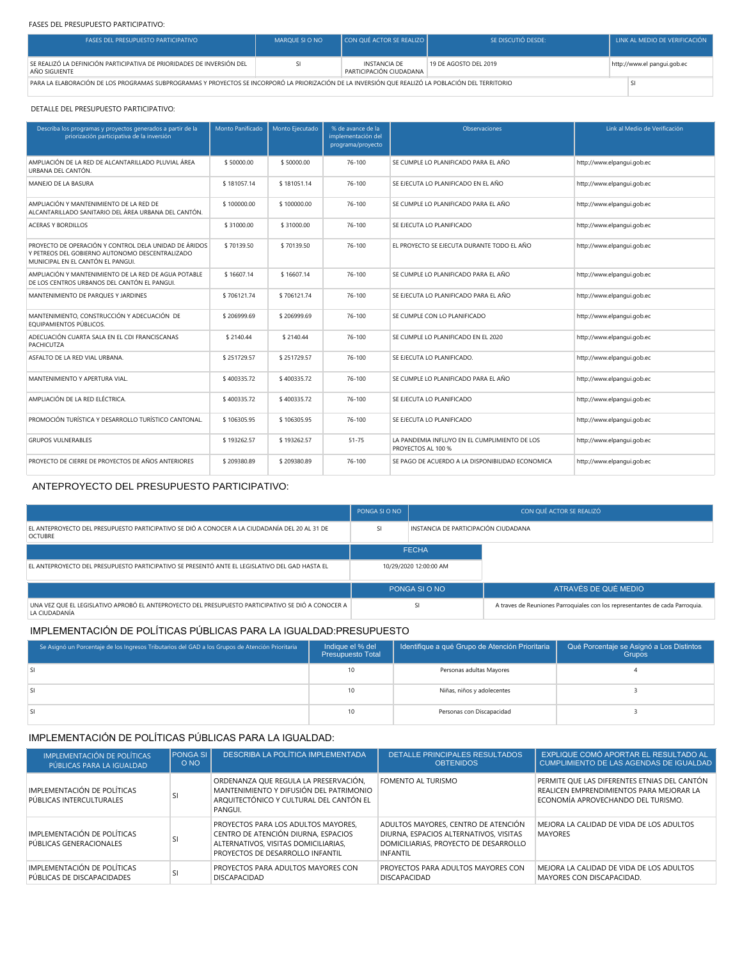#### FASES DEL PRESUPUESTO PARTICIPATIVO:

| <b>FASES DEL PRESUPUESTO PARTICIPATIVO</b>                                                                                                         | MARQUE SI O NO | CON QUÉ ACTOR SE REALIZO                       | <b>SE DISCUTIÓ DESDE:</b> | LINK AL MEDIO DE VERIFICACIÓN |                             |
|----------------------------------------------------------------------------------------------------------------------------------------------------|----------------|------------------------------------------------|---------------------------|-------------------------------|-----------------------------|
| SE REALIZÓ LA DEFINICIÓN PARTICIPATIVA DE PRIORIDADES DE INVERSIÓN DEL<br>AÑO SIGUIFNTE                                                            |                | <b>INSTANCIA DE</b><br>PARTICIPACIÓN CIUDADANA | 19 DE AGOSTO DEL 2019     |                               | http://www.el pangui.gob.ec |
| PARA LA ELABORACIÓN DE LOS PROGRAMAS SUBPROGRAMAS Y PROYECTOS SE INCORPORÓ LA PRIORIZACIÓN DE LA INVERSIÓN OUE REALIZÓ LA POBLACIÓN DEL TERRITORIO |                |                                                |                           |                               |                             |

#### DETALLE DEL PRESUPUESTO PARTICIPATIVO:

| Describa los programas y proyectos generados a partir de la<br>priorización participativa de la inversión                                     | Monto Panificado | Monto Ejecutado | % de avance de la<br>implementación del<br>programa/proyecto | Observaciones                                                       | Link al Medio de Verificación |
|-----------------------------------------------------------------------------------------------------------------------------------------------|------------------|-----------------|--------------------------------------------------------------|---------------------------------------------------------------------|-------------------------------|
| AMPLIACIÓN DE LA RED DE ALCANTARILLADO PLUVIAL ÁREA<br>URBANA DEL CANTÓN.                                                                     | \$50000.00       | \$50000.00      | 76-100                                                       | SE CUMPLE LO PLANIFICADO PARA EL AÑO                                | http://www.elpanqui.gob.ec    |
| MANEJO DE LA BASURA                                                                                                                           | \$181057.14      | \$181051.14     | 76-100                                                       | SE EJECUTA LO PLANIFICADO EN EL AÑO                                 | http://www.elpanqui.gob.ec    |
| AMPLIACIÓN Y MANTENIMIENTO DE LA RED DE<br>ALCANTARILLADO SANITARIO DEL ÁREA URBANA DEL CANTÓN.                                               | \$100000.00      | \$100000.00     | 76-100                                                       | SE CUMPLE LO PLANIFICADO PARA EL AÑO                                | http://www.elpangui.gob.ec    |
| <b>ACERAS Y BORDILLOS</b>                                                                                                                     | \$31000.00       | \$31000.00      | 76-100                                                       | SE EJECUTA LO PLANIFICADO                                           | http://www.elpangui.gob.ec    |
| PROYECTO DE OPERACIÓN Y CONTROL DELA UNIDAD DE ÁRIDOS<br>Y PETREOS DEL GOBIERNO AUTONOMO DESCENTRALIZADO<br>MUNICIPAL EN EL CANTÓN EL PANGUI. | \$70139.50       | \$70139.50      | 76-100                                                       | EL PROYECTO SE EJECUTA DURANTE TODO EL AÑO                          | http://www.elpanqui.gob.ec    |
| AMPLIACIÓN Y MANTENIMIENTO DE LA RED DE AGUA POTABLE<br>DE LOS CENTROS URBANOS DEL CANTÓN EL PANGUI.                                          | \$16607.14       | \$16607.14      | 76-100                                                       | SE CUMPLE LO PLANIFICADO PARA EL AÑO                                | http://www.elpanqui.gob.ec    |
| MANTENIMIENTO DE PARQUES Y JARDINES                                                                                                           | \$706121.74      | \$706121.74     | 76-100                                                       | SE EJECUTA LO PLANIFICADO PARA EL AÑO                               | http://www.elpanqui.gob.ec    |
| MANTENIMIENTO, CONSTRUCCIÓN Y ADECUACIÓN DE<br>EQUIPAMIENTOS PÚBLICOS.                                                                        | \$206999.69      | \$206999.69     | 76-100                                                       | SE CUMPLE CON LO PLANIFICADO                                        | http://www.elpanqui.gob.ec    |
| ADECUACIÓN CUARTA SALA EN EL CDI FRANCISCANAS<br><b>PACHICUTZA</b>                                                                            | \$2140.44        | \$2140.44       | 76-100                                                       | SE CUMPLE LO PLANIFICADO EN EL 2020                                 | http://www.elpangui.gob.ec    |
| ASFALTO DE LA RED VIAL URBANA.                                                                                                                | \$251729.57      | \$251729.57     | 76-100                                                       | SE EJECUTA LO PLANIFICADO.                                          | http://www.elpanqui.gob.ec    |
| MANTENIMIENTO Y APERTURA VIAL.                                                                                                                | \$400335.72      | \$400335.72     | 76-100                                                       | SE CUMPLE LO PLANIFICADO PARA EL AÑO                                | http://www.elpangui.gob.ec    |
| AMPLIACIÓN DE LA RED ELÉCTRICA.                                                                                                               | \$400335.72      | \$400335.72     | 76-100                                                       | SE EJECUTA LO PLANIFICADO                                           | http://www.elpanqui.gob.ec    |
| PROMOCIÓN TURÍSTICA Y DESARROLLO TURÍSTICO CANTONAL.                                                                                          | \$106305.95      | \$106305.95     | 76-100                                                       | SE EJECUTA LO PLANIFICADO                                           | http://www.elpanqui.gob.ec    |
| <b>GRUPOS VULNERABLES</b>                                                                                                                     | \$193262.57      | \$193262.57     | $51 - 75$                                                    | LA PANDEMIA INFLUYO EN EL CUMPLIMIENTO DE LOS<br>PROYECTOS AL 100 % | http://www.elpangui.gob.ec    |
| PROYECTO DE CIERRE DE PROYECTOS DE AÑOS ANTERIORES                                                                                            | \$209380.89      | \$209380.89     | 76-100                                                       | SE PAGO DE ACUERDO A LA DISPONIBILIDAD ECONOMICA                    | http://www.elpangui.gob.ec    |

## ANTEPROYECTO DEL PRESUPUESTO PARTICIPATIVO:

|                                                                                                                     | PONGA SI O NO          | CON QUÉ ACTOR SE REALIZÓ             |                                                                              |
|---------------------------------------------------------------------------------------------------------------------|------------------------|--------------------------------------|------------------------------------------------------------------------------|
| EL ANTEPROYECTO DEL PRESUPUESTO PARTICIPATIVO SE DIÓ A CONOCER A LA CIUDADANÍA DEL 20 AL 31 DE<br><b>OCTUBRE</b>    | SI                     | INSTANCIA DE PARTICIPACIÓN CIUDADANA |                                                                              |
|                                                                                                                     |                        | <b>FECHA</b>                         |                                                                              |
| EL ANTEPROYECTO DEL PRESUPUESTO PARTICIPATIVO SE PRESENTÓ ANTE EL LEGISLATIVO DEL GAD HASTA EL                      | 10/29/2020 12:00:00 AM |                                      |                                                                              |
|                                                                                                                     |                        | PONGA SI O NO                        | ATRAVÉS DE QUÉ MEDIO                                                         |
| UNA VEZ QUE EL LEGISLATIVO APROBÓ EL ANTEPROYECTO DEL PRESUPUESTO PARTICIPATIVO SE DIÓ A CONOCER A<br>LA CIUDADANÍA |                        | SI                                   | A traves de Reuniones Parroquiales con los representantes de cada Parroquia. |

## IMPLEMENTACIÓN DE POLÍTICAS PÚBLICAS PARA LA IGUALDAD:PRESUPUESTO

| Se Asignó un Porcentaje de los Ingresos Tributarios del GAD a los Grupos de Atención Prioritaria | Indique el % del<br><b>Presupuesto Total</b> | Identifique a qué Grupo de Atención Prioritaria | Qué Porcentaje se Asignó a Los Distintos<br>Grupos |
|--------------------------------------------------------------------------------------------------|----------------------------------------------|-------------------------------------------------|----------------------------------------------------|
|                                                                                                  | 10                                           | Personas adultas Mayores                        |                                                    |
|                                                                                                  | 10                                           | Niñas, niños y adolecentes                      |                                                    |
|                                                                                                  | 10                                           | Personas con Discapacidad                       |                                                    |

# IMPLEMENTACIÓN DE POLÍTICAS PÚBLICAS PARA LA IGUALDAD:

| <b>IMPLEMENTACIÓN DE POLÍTICAS</b>                      | <b>PONGA SI</b> | DESCRIBA LA POLÍTICA IMPLEMENTADA                                                                                                                      | <b>DETALLE PRINCIPALES RESULTADOS</b>                                                                                                     | EXPLIQUE COMÓ APORTAR EL RESULTADO AL                                                                                          |
|---------------------------------------------------------|-----------------|--------------------------------------------------------------------------------------------------------------------------------------------------------|-------------------------------------------------------------------------------------------------------------------------------------------|--------------------------------------------------------------------------------------------------------------------------------|
| PÚBLICAS PARA LA IGUALDAD                               | O NO            |                                                                                                                                                        | <b>OBTENIDOS</b>                                                                                                                          | <b>CUMPLIMIENTO DE LAS AGENDAS DE IGUALDAD</b>                                                                                 |
| IMPLEMENTACIÓN DE POLÍTICAS<br>PÚBLICAS INTERCULTURALES |                 | ORDENANZA QUE REGULA LA PRESERVACIÓN.<br>MANTENIMIENTO Y DIFUSIÓN DEL PATRIMONIO<br>AROUITECTÓNICO Y CULTURAL DEL CANTÓN EL<br>PANGUL                  | FOMENTO AL TURISMO                                                                                                                        | PERMITE QUE LAS DIFERENTES ETNIAS DEL CANTÓN<br>REALICEN EMPRENDIMIENTOS PARA MEJORAR LA<br>ECONOMÍA APROVECHANDO DEL TURISMO. |
| IMPLEMENTACIÓN DE POLÍTICAS<br>PÚBLICAS GENERACIONALES  |                 | PROYECTOS PARA LOS ADULTOS MAYORES.<br>CENTRO DE ATENCIÓN DIURNA, ESPACIOS<br>ALTERNATIVOS, VISITAS DOMICILIARIAS.<br>PROYECTOS DE DESARROLLO INFANTIL | ADULTOS MAYORES, CENTRO DE ATENCIÓN<br>DIURNA, ESPACIOS ALTERNATIVOS, VISITAS<br>DOMICILIARIAS, PROYECTO DE DESARROLLO<br><b>INFANTIL</b> | MEJORA LA CALIDAD DE VIDA DE LOS ADULTOS<br><b>MAYORES</b>                                                                     |
| IMPLEMENTACIÓN DE POLÍTICAS                             |                 | PROYECTOS PARA ADULTOS MAYORES CON                                                                                                                     | PROYECTOS PARA ADULTOS MAYORES CON                                                                                                        | MEJORA LA CALIDAD DE VIDA DE LOS ADULTOS                                                                                       |
| PÚBLICAS DE DISCAPACIDADES                              |                 | <b>DISCAPACIDAD</b>                                                                                                                                    | <b>DISCAPACIDAD</b>                                                                                                                       | MAYORES CON DISCAPACIDAD.                                                                                                      |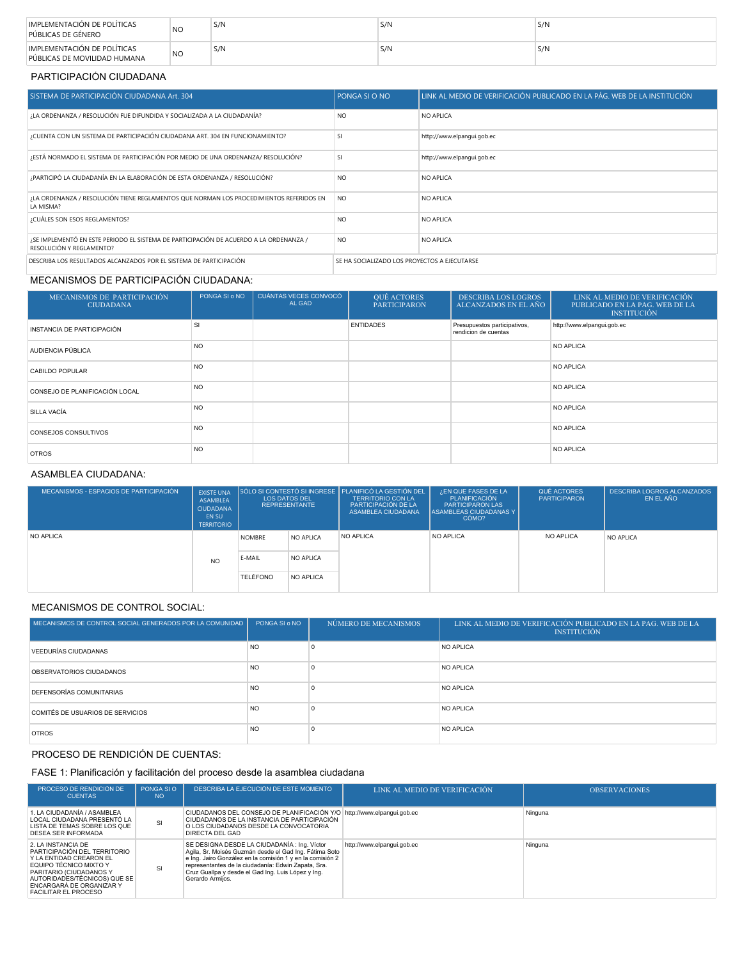| IMPLEMENTACIÓN DE POLÍTICAS<br>PÚBLICAS DE GÉNERO           | N <sub>O</sub> | S/N | S/N | S/N |
|-------------------------------------------------------------|----------------|-----|-----|-----|
| IMPLEMENTACIÓN DE POLÍTICAS<br>PÚBLICAS DE MOVILIDAD HUMANA | <b>NO</b>      | S/N | S/N | S/N |

#### PARTICIPACIÓN CIUDADANA

| SISTEMA DE PARTICIPACIÓN CIUDADANA Art. 304                                                                        | <b>PONGA SI O NO</b>                         | LINK AL MEDIO DE VERIFICACIÓN PUBLICADO EN LA PÁG. WEB DE LA INSTITUCIÓN |
|--------------------------------------------------------------------------------------------------------------------|----------------------------------------------|--------------------------------------------------------------------------|
| ¿LA ORDENANZA / RESOLUCIÓN FUE DIFUNDIDA Y SOCIALIZADA A LA CIUDADANÍA?                                            | NO                                           | NO APLICA                                                                |
| ¿CUENTA CON UN SISTEMA DE PARTICIPACIÓN CIUDADANA ART. 304 EN FUNCIONAMIENTO?                                      | <b>SI</b>                                    | http://www.elpangui.gob.ec                                               |
| ¿ESTÁ NORMADO EL SISTEMA DE PARTICIPACIÓN POR MEDIO DE UNA ORDENANZA/ RESOLUCIÓN?                                  | SI                                           | http://www.elpangui.gob.ec                                               |
| ¿PARTICIPÓ LA CIUDADANÍA EN LA ELABORACIÓN DE ESTA ORDENANZA / RESOLUCIÓN?                                         | NO                                           | NO APLICA                                                                |
| ¿LA ORDENANZA / RESOLUCIÓN TIENE REGLAMENTOS QUE NORMAN LOS PROCEDIMIENTOS REFERIDOS EN<br>LA MISMA?               | N <sub>O</sub>                               | NO APLICA                                                                |
| ¿CUÁLES SON ESOS REGLAMENTOS?                                                                                      | NO                                           | NO APLICA                                                                |
| ¿SE IMPLEMENTÓ EN ESTE PERIODO EL SISTEMA DE PARTICIPACIÓN DE ACUERDO A LA ORDENANZA /<br>RESOLUCIÓN Y REGLAMENTO? | N <sub>O</sub>                               | NO APLICA                                                                |
| DESCRIBA LOS RESULTADOS ALCANZADOS POR EL SISTEMA DE PARTICIPACIÓN                                                 | SE HA SOCIALIZADO LOS PROYECTOS A EJECUTARSE |                                                                          |

## MECANISMOS DE PARTICIPACIÓN CIUDADANA:

| MECANISMOS DE PARTICIPACIÓN<br><b>CIUDADANA</b> | PONGA SI o NO  | CUÁNTAS VECES CONVOCÓ<br>AL GAD | QUÉ ACTORES<br><b>PARTICIPARON</b> | <b>DESCRIBA LOS LOGROS</b><br>ALCANZADOS EN EL AÑO   | LINK AL MEDIO DE VERIFICACIÓN<br>PUBLICADO EN LA PAG. WEB DE LA<br><b>INSTITUCIÓN</b> |
|-------------------------------------------------|----------------|---------------------------------|------------------------------------|------------------------------------------------------|---------------------------------------------------------------------------------------|
| INSTANCIA DE PARTICIPACIÓN                      | SI             |                                 | <b>ENTIDADES</b>                   | Presupuestos participativos,<br>rendicion de cuentas | http://www.elpangui.gob.ec                                                            |
| AUDIENCIA PÚBLICA                               | <b>NO</b>      |                                 |                                    |                                                      | NO APLICA                                                                             |
| CABILDO POPULAR                                 | <b>NO</b>      |                                 |                                    |                                                      | NO APLICA                                                                             |
| CONSEJO DE PLANIFICACIÓN LOCAL                  | N <sub>O</sub> |                                 |                                    |                                                      | NO APLICA                                                                             |
| SILLA VACÍA                                     | N <sub>O</sub> |                                 |                                    |                                                      | <b>NO APLICA</b>                                                                      |
| <b>CONSEJOS CONSULTIVOS</b>                     | N <sub>O</sub> |                                 |                                    |                                                      | <b>NO APLICA</b>                                                                      |
| <b>OTROS</b>                                    | N <sub>O</sub> |                                 |                                    |                                                      | <b>NO APLICA</b>                                                                      |

### ASAMBLEA CIUDADANA:

| MECANISMOS - ESPACIOS DE PARTICIPACIÓN | <b>EXISTE UNA</b><br>ASAMBLEA<br><b>CIUDADANA</b><br>EN SU<br><b>TERRITORIO</b> |                 | <b>LOS DATOS DEL</b><br><b>REPRESENTANTE</b> | SÓLO SI CONTESTÓ SI INGRESE PLANIFICÓ LA GESTIÓN DEL<br><b>TERRITORIO CON LA</b><br>PARTICIPACIÓN DE LA<br>ASAMBLEA CIUDADANA | ¿EN QUE FASES DE LA<br>PLANIFICACIÓN<br><b>PARTICIPARON LAS</b><br><b>ASAMBLEAS CIUDADANAS Y</b><br>CÓMO? | QUÉ ACTORES<br><b>PARTICIPARON</b> | <b>DESCRIBA LOGROS ALCANZADOS</b><br>EN EL AÑO |
|----------------------------------------|---------------------------------------------------------------------------------|-----------------|----------------------------------------------|-------------------------------------------------------------------------------------------------------------------------------|-----------------------------------------------------------------------------------------------------------|------------------------------------|------------------------------------------------|
| NO APLICA                              | <b>NO</b>                                                                       | <b>NOMBRE</b>   | NO APLICA                                    | NO APLICA                                                                                                                     | <b>NO APLICA</b>                                                                                          | NO APLICA                          | NO APLICA                                      |
|                                        |                                                                                 | E-MAIL          | NO APLICA                                    |                                                                                                                               |                                                                                                           |                                    |                                                |
|                                        |                                                                                 | <b>TELÉFONO</b> | <b>NO APLICA</b>                             |                                                                                                                               |                                                                                                           |                                    |                                                |

## MECANISMOS DE CONTROL SOCIAL:

| MECANISMOS DE CONTROL SOCIAL GENERADOS POR LA COMUNIDAD | PONGA SI o NO | NÚMERO DE MECANISMOS | LINK AL MEDIO DE VERIFICACIÓN PUBLICADO EN LA PAG. WEB DE LA<br><b>INSTITUCIÓN</b> |
|---------------------------------------------------------|---------------|----------------------|------------------------------------------------------------------------------------|
| VEEDURÍAS CIUDADANAS                                    | <b>NO</b>     |                      | NO APLICA                                                                          |
| OBSERVATORIOS CIUDADANOS                                | <b>NO</b>     |                      | NO APLICA                                                                          |
| DEFENSORÍAS COMUNITARIAS                                | <b>NO</b>     |                      | NO APLICA                                                                          |
| COMITÉS DE USUARIOS DE SERVICIOS                        | <b>NO</b>     |                      | NO APLICA                                                                          |
| <b>OTROS</b>                                            | <b>NO</b>     |                      | NO APLICA                                                                          |

## PROCESO DE RENDICIÓN DE CUENTAS:

## FASE 1: Planificación y facilitación del proceso desde la asamblea ciudadana

| PROCESO DE RENDICIÓN DE<br><b>CUENTAS</b>                                                                                                                                                                                     | PONGA SI O<br><b>NO</b> | DESCRIBA LA EJECUCIÓN DE ESTE MOMENTO                                                                                                                                                                                                                                                                | LINK AL MEDIO DE VERIFICACIÓN | <b>OBSERVACIONES</b> |
|-------------------------------------------------------------------------------------------------------------------------------------------------------------------------------------------------------------------------------|-------------------------|------------------------------------------------------------------------------------------------------------------------------------------------------------------------------------------------------------------------------------------------------------------------------------------------------|-------------------------------|----------------------|
| 1. LA CIUDADANÍA / ASAMBLEA<br>LOCAL CIUDADANA PRESENTÓ LA<br>LISTA DE TEMAS SOBRE LOS QUE<br>DESEA SER INFORMADA                                                                                                             | SI                      | CIUDADANOS DEL CONSEJO DE PLANIFICACIÓN Y/O http://www.elpanqui.qob.ec<br>CIUDADANOS DE LA INSTANCIA DE PARTICIPACIÓN<br>O LOS CIUDADANOS DESDE LA CONVOCATORIA<br><b>DIRECTA DEL GAD</b>                                                                                                            |                               | Ninguna              |
| 2. LA INSTANCIA DE<br>PARTICIPACIÓN DEL TERRITORIO<br>Y LA ENTIDAD CREARON EL<br>EQUIPO TÉCNICO MIXTO Y<br>PARITARIO (CIUDADANOS Y<br>AUTORIDADES/TÉCNICOS) QUE SE<br>ENCARGARÁ DE ORGANIZAR Y<br><b>FACILITAR EL PROCESO</b> | S                       | SE DESIGNA DESDE LA CIUDADANÍA : Ing. Víctor<br>Agila, Sr. Moisés Guzmán desde el Gad Ing. Fátima Soto<br>e Ing. Jairo González en la comisión 1 y en la comisión 2<br>representantes de la ciudadanía: Edwin Zapata, Sra.<br>Cruz Guallpa y desde el Gad Ing. Luis López y Ing.<br>Gerardo Armijos. | http://www.elpangui.gob.ec    | Ninguna              |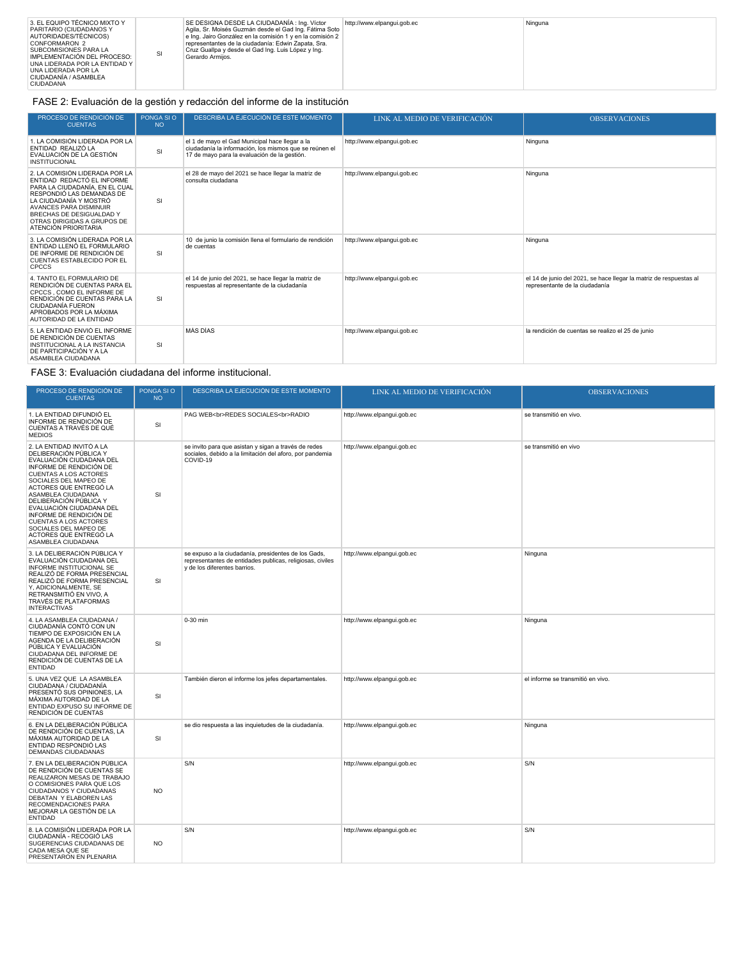| 3. EL EQUIPO TÉCNICO MIXTO Y<br>PARITARIO (CIUDADANOS Y<br>AUTORIDADES/TÉCNICOS)<br>CONFORMARON 2<br><b>SUBCOMISIONES PARA LA</b><br>SI<br>IMPLEMENTACIÓN DEL PROCESO:<br>UNA LIDERADA POR LA ENTIDAD Y I<br>UNA LIDERADA POR LA<br>CIUDADANÍA / ASAMBLEA<br><b>CIUDADANA</b> | SE DESIGNA DESDE LA CIUDADANÍA : Ing. Víctor<br>Agila, Sr. Moisés Guzmán desde el Gad Ing. Fátima Soto<br>e Ing. Jairo González en la comisión 1 y en la comisión 2<br>representantes de la ciudadanía: Edwin Zapata, Sra.<br>Cruz Guallpa y desde el Gad Ing. Luis López y Ing.<br>Gerardo Armijos. | http://www.elpangui.gob.ec | Ninguna |
|-------------------------------------------------------------------------------------------------------------------------------------------------------------------------------------------------------------------------------------------------------------------------------|------------------------------------------------------------------------------------------------------------------------------------------------------------------------------------------------------------------------------------------------------------------------------------------------------|----------------------------|---------|
|-------------------------------------------------------------------------------------------------------------------------------------------------------------------------------------------------------------------------------------------------------------------------------|------------------------------------------------------------------------------------------------------------------------------------------------------------------------------------------------------------------------------------------------------------------------------------------------------|----------------------------|---------|

## FASE 2: Evaluación de la gestión y redacción del informe de la institución

| PROCESO DE RENDICIÓN DE<br><b>CUENTAS</b>                                                                                                                                                                                                                                 | PONGA SI O<br><b>NO</b> | DESCRIBA LA EJECUCIÓN DE ESTE MOMENTO                                                                                                                    | LINK AL MEDIO DE VERIFICACIÓN | <b>OBSERVACIONES</b>                                                                                 |
|---------------------------------------------------------------------------------------------------------------------------------------------------------------------------------------------------------------------------------------------------------------------------|-------------------------|----------------------------------------------------------------------------------------------------------------------------------------------------------|-------------------------------|------------------------------------------------------------------------------------------------------|
| 1. LA COMISIÓN LIDERADA POR LA<br>ENTIDAD REALIZÓ LA<br>EVALUACIÓN DE LA GESTIÓN<br><b>INSTITUCIONAL</b>                                                                                                                                                                  | SI                      | el 1 de mayo el Gad Municipal hace llegar a la<br>ciudadanía la información, los mismos que se reúnen el<br>17 de mayo para la evaluación de la gestión. | http://www.elpangui.gob.ec    | Ninguna                                                                                              |
| 2. LA COMISIÓN LIDERADA POR LA<br>ENTIDAD REDACTÓ EL INFORME<br>PARA LA CIUDADANÍA. EN EL CUAL<br>RESPONDIÓ LAS DEMANDAS DE<br>LA CIUDADANÍA Y MOSTRÓ<br><b>AVANCES PARA DISMINUIR</b><br>BRECHAS DE DESIGUALDAD Y<br>OTRAS DIRIGIDAS A GRUPOS DE<br>ATENCIÓN PRIORITARIA | SI                      | el 28 de mayo del 2021 se hace llegar la matriz de<br>consulta ciudadana                                                                                 | http://www.elpangui.gob.ec    | Ninguna                                                                                              |
| 3. LA COMISIÓN LIDERADA POR LA<br>ENTIDAD LLENÓ EL FORMULARIO<br>DE INFORME DE RENDICIÓN DE<br>CUENTAS ESTABLECIDO POR EL<br><b>CPCCS</b>                                                                                                                                 | SI                      | 10 de junio la comisión llena el formulario de rendición<br>de cuentas                                                                                   | http://www.elpangui.gob.ec    | Ninguna                                                                                              |
| 4. TANTO EL FORMULARIO DE<br>RENDICIÓN DE CUENTAS PARA EL<br>CPCCS . COMO EL INFORME DE<br>RENDICIÓN DE CUENTAS PARA LA<br>CIUDADANÍA FUERON<br>APROBADOS POR LA MÁXIMA<br>AUTORIDAD DE LA ENTIDAD                                                                        | SI                      | el 14 de junio del 2021, se hace llegar la matriz de<br>respuestas al representante de la ciudadanía                                                     | http://www.elpangui.gob.ec    | el 14 de junio del 2021, se hace llegar la matriz de respuestas al<br>representante de la ciudadanía |
| 5. LA ENTIDAD ENVIÓ EL INFORME<br>DE RENDICIÓN DE CUENTAS<br>INSTITUCIONAL A LA INSTANCIA<br>DE PARTICIPACIÓN Y A LA<br>ASAMBLEA CIUDADANA                                                                                                                                | <b>SI</b>               | MÁS DÍAS                                                                                                                                                 | http://www.elpangui.gob.ec    | la rendición de cuentas se realizo el 25 de junio                                                    |

## FASE 3: Evaluación ciudadana del informe institucional.

| PROCESO DE RENDICIÓN DE<br><b>CUENTAS</b>                                                                                                                                                                                                                                                                                                                                                                     | PONGA SI O<br><b>NO</b> | DESCRIBA LA EJECUCIÓN DE ESTE MOMENTO                                                                                                            | LINK AL MEDIO DE VERIFICACIÓN | <b>OBSERVACIONES</b>              |
|---------------------------------------------------------------------------------------------------------------------------------------------------------------------------------------------------------------------------------------------------------------------------------------------------------------------------------------------------------------------------------------------------------------|-------------------------|--------------------------------------------------------------------------------------------------------------------------------------------------|-------------------------------|-----------------------------------|
| 1. LA ENTIDAD DIFUNDIÓ EL<br>INFORME DE RENDICIÓN DE<br>CUENTAS A TRAVÉS DE QUÉ<br><b>MEDIOS</b>                                                                                                                                                                                                                                                                                                              | SI                      | PAG WEB<br>REDES SOCIALES<br>RADIO                                                                                                               | http://www.elpangui.gob.ec    | se transmitió en vivo.            |
| 2. LA ENTIDAD INVITÓ A LA<br>DELIBERACIÓN PÚBLICA Y<br>EVALUACIÓN CIUDADANA DEL<br>INFORME DE RENDICIÓN DE<br><b>CUENTAS A LOS ACTORES</b><br>SOCIALES DEL MAPEO DE<br>ACTORES QUE ENTREGÓ LA<br>ASAMBLEA CIUDADANA<br>DELIBERACIÓN PÚBLICA Y<br>EVALUACIÓN CIUDADANA DEL<br>INFORME DE RENDICIÓN DE<br><b>CUENTAS A LOS ACTORES</b><br>SOCIALES DEL MAPEO DE<br>ACTORES QUE ENTREGÓ LA<br>ASAMBLEA CIUDADANA | SI                      | se invito para que asistan y sigan a través de redes<br>sociales, debido a la limitación del aforo, por pandemia<br>COVID-19                     | http://www.elpangui.gob.ec    | se transmitió en vivo             |
| 3. LA DELIBERACIÓN PÚBLICA Y<br>EVALUACIÓN CIUDADANA DEL<br>INFORME INSTITUCIONAL SE<br>REALIZÓ DE FORMA PRESENCIAL<br>REALIZÓ DE FORMA PRESENCIAL<br>Y. ADICIONALMENTE, SE<br>RETRANSMITIÓ EN VIVO, A<br>TRAVÉS DE PLATAFORMAS<br><b>INTERACTIVAS</b>                                                                                                                                                        | <b>SI</b>               | se expuso a la ciudadanía, presidentes de los Gads,<br>representantes de entidades publicas, religiosas, civiles<br>y de los diferentes barrios. | http://www.elpangui.gob.ec    | Ninguna                           |
| 4. LA ASAMBLEA CIUDADANA /<br>CIUDADANÍA CONTÓ CON UN<br>TIEMPO DE EXPOSICIÓN EN LA<br>AGENDA DE LA DELIBERACIÓN<br>PÚBLICA Y EVALUACIÓN<br>CIUDADANA DEL INFORME DE<br>RENDICIÓN DE CUENTAS DE LA<br><b>ENTIDAD</b>                                                                                                                                                                                          | SI                      | 0-30 min                                                                                                                                         | http://www.elpangui.gob.ec    | Ninguna                           |
| 5. UNA VEZ QUE LA ASAMBLEA<br>CIUDADANA / CIUDADANÍA<br>PRESENTÓ SUS OPINIONES. LA<br>MÁXIMA AUTORIDAD DE LA<br>ENTIDAD EXPUSO SU INFORME DE<br>RENDICIÓN DE CUENTAS                                                                                                                                                                                                                                          | <b>SI</b>               | También dieron el informe los jefes departamentales.                                                                                             | http://www.elpangui.gob.ec    | el informe se transmitió en vivo. |
| 6. EN LA DELIBERACIÓN PÚBLICA<br>DE RENDICIÓN DE CUENTAS, LA<br>MÁXIMA AUTORIDAD DE LA<br>ENTIDAD RESPONDIÓ LAS<br>DEMANDAS CIUDADANAS                                                                                                                                                                                                                                                                        | <b>SI</b>               | se dio respuesta a las inquietudes de la ciudadanía.                                                                                             | http://www.elpangui.gob.ec    | Ninguna                           |
| 7. EN LA DELIBERACIÓN PÚBLICA<br>DE RENDICIÓN DE CUENTAS SE<br>REALIZARON MESAS DE TRABAJO<br>O COMISIONES PARA QUE LOS<br>CIUDADANOS Y CIUDADANAS<br>DEBATAN Y ELABOREN LAS<br>RECOMENDACIONES PARA<br>MEJORAR LA GESTIÓN DE LA<br><b>ENTIDAD</b>                                                                                                                                                            | <b>NO</b>               | S/N                                                                                                                                              | http://www.elpangui.gob.ec    | S/N                               |
| 8. LA COMISIÓN LIDERADA POR LA<br>CIUDADANÍA - RECOGIÓ LAS<br>SUGERENCIAS CIUDADANAS DE<br>CADA MESA QUE SE<br>PRESENTARON EN PLENARIA                                                                                                                                                                                                                                                                        | <b>NO</b>               | S/N                                                                                                                                              | http://www.elpangui.gob.ec    | S/N                               |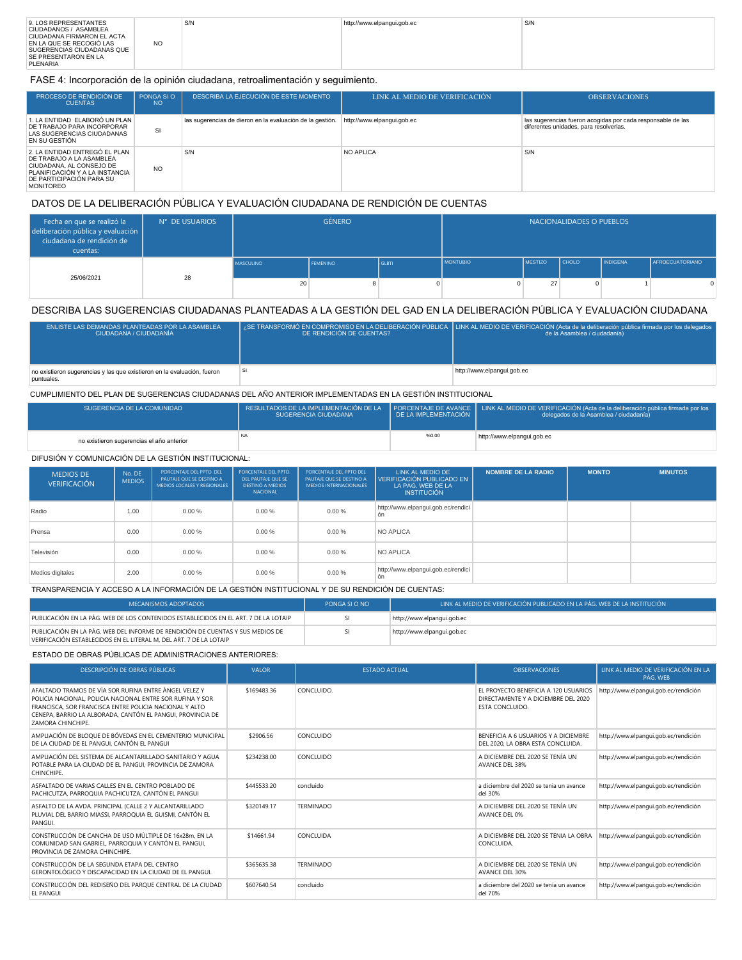| 9. LOS REPRESENTANTES<br>CIUDADANOS / ASAMBLEA<br>CIUDADANA FIRMARON EL ACTA<br>EN LA QUE SE RECOGIÓ LAS<br>SUGERENCIAS CIUDADANAS QUE | <b>NO</b> | S/N | http://www.elpangui.gob.ec | S/N |
|----------------------------------------------------------------------------------------------------------------------------------------|-----------|-----|----------------------------|-----|
| <b>SE PRESENTARON EN LA</b><br>PLENARIA                                                                                                |           |     |                            |     |

FASE 4: Incorporación de la opinión ciudadana, retroalimentación y seguimiento.

| PROCESO DE RENDICIÓN DE<br><b>CUENTAS</b>                                                                                                                               | PONGA SIO<br><b>NO</b> | DESCRIBA LA EJECUCIÓN DE ESTE MOMENTO                     | LINK AL MEDIO DE VERIFICACIÓN | <b>OBSERVACIONES</b>                                                                                  |
|-------------------------------------------------------------------------------------------------------------------------------------------------------------------------|------------------------|-----------------------------------------------------------|-------------------------------|-------------------------------------------------------------------------------------------------------|
| 1. LA ENTIDAD ELABORÓ UN PLAN<br>DE TRABAJO PARA INCORPORAR<br>LAS SUGERENCIAS CIUDADANAS<br>EN SU GESTIÓN                                                              | SI                     | las sugerencias de dieron en la evaluación de la gestión. | http://www.elpangui.gob.ec    | las sugerencias fueron acogidas por cada responsable de las<br>diferentes unidades, para resolverlas. |
| 2. LA ENTIDAD ENTREGÓ EL PLAN<br>DE TRABAJO A LA ASAMBLEA<br>CIUDADANA, AL CONSEJO DE<br>PLANIFICACIÓN Y A LA INSTANCIA<br>DE PARTICIPACIÓN PARA SU<br><b>MONITOREO</b> | <b>NO</b>              | S/N                                                       | <b>NO APLICA</b>              | S/N                                                                                                   |

## DATOS DE LA DELIBERACIÓN PÚBLICA Y EVALUACIÓN CIUDADANA DE RENDICIÓN DE CUENTAS

| Fecha en que se realizó la<br>deliberación pública y evaluación  <br>ciudadana de rendición de<br>cuentas: | N° DE USUARIOS | <b>GÉNERO</b>    |                 |              |                 | NACIONALIDADES O PUEBLOS |              |                 |                        |
|------------------------------------------------------------------------------------------------------------|----------------|------------------|-----------------|--------------|-----------------|--------------------------|--------------|-----------------|------------------------|
| 25/06/2021                                                                                                 | 28             | <b>MASCULINO</b> | <b>FEMENINO</b> | <b>GLBTI</b> | <b>MONTUBIO</b> | <b>IMESTIZO</b>          | <b>CHOLO</b> | <b>INDIGENA</b> | <b>AFROECUATORIANO</b> |
|                                                                                                            |                | 20               |                 | $\Omega$     |                 | 27                       | <sup>n</sup> |                 |                        |

### DESCRIBA LAS SUGERENCIAS CIUDADANAS PLANTEADAS A LA GESTIÓN DEL GAD EN LA DELIBERACIÓN PÚBLICA Y EVALUACIÓN CIUDADANA

| ENLISTE LAS DEMANDAS PLANTEADAS POR LA ASAMBLEA<br>LCIUDADANA / CIUDADANÍA            | DE RENDICIÓN DE CUENTAS? | / SE TRANSFORMÓ EN COMPROMISO EN LA DELIBERACIÓN PÚBLICA LINK AL MEDIO DE VERIFICACIÓN (Acta de la deliberación pública firmada por los delegados<br>de la Asamblea / ciudadanía) |
|---------------------------------------------------------------------------------------|--------------------------|-----------------------------------------------------------------------------------------------------------------------------------------------------------------------------------|
| no existieron sugerencias y las que existieron en la evaluación, fueron<br>puntuales. |                          | http://www.elpangui.gob.ec                                                                                                                                                        |

#### CUMPLIMIENTO DEL PLAN DE SUGERENCIAS CIUDADANAS DEL AÑO ANTERIOR IMPLEMENTADAS EN LA GESTIÓN INSTITUCIONAL

| SUGERENCIA DE LA COMUNIDAD                | SUGERENCIA CIUDADANA | I DE LA IMPLEMENTACIÓN | RESULTADOS DE LA IMPLEMENTACIÓN DE LA PORCENTAJE DE AVANCE LINK AL MEDIO DE VERIFICACIÓN (Acta de la deliberación pública firmada por los<br>delegados de la Asamblea / ciudadanía) |
|-------------------------------------------|----------------------|------------------------|-------------------------------------------------------------------------------------------------------------------------------------------------------------------------------------|
| no existieron sugerencias el año anterior |                      | %0.00                  | http://www.elpangui.gob.ec                                                                                                                                                          |

#### DIFUSIÓN Y COMUNICACIÓN DE LA GESTIÓN INSTITUCIONAL:

| <b>MEDIOS DE</b><br><b>VERIFICACIÓN</b> | No. DE<br><b>MEDIOS</b> | PORCENTAJE DEL PPTO, DEL<br>PAUTAJE OUE SE DESTINO A<br>MEDIOS LOCALES Y REGIONALES | PORCENTAJE DEL PPTO.<br>DEL PAUTAJE QUE SE<br><b>DESTINÓ A MEDIOS</b><br><b>NACIONAL</b> | PORCENTAJE DEL PPTO DEL<br>PAUTAJE QUE SE DESTINO A<br><b>MEDIOS INTERNACIONALES</b> | LINK AL MEDIO DE<br>VERIFICACIÓN PUBLICADO EN<br>LA PAG. WEB DE LA<br><b>INSTITUCIÓN</b> | <b>NOMBRE DE LA RADIO</b> | <b>MONTO</b> | <b>MINUTOS</b> |
|-----------------------------------------|-------------------------|-------------------------------------------------------------------------------------|------------------------------------------------------------------------------------------|--------------------------------------------------------------------------------------|------------------------------------------------------------------------------------------|---------------------------|--------------|----------------|
| Radio                                   | 1.00                    | 0.00%                                                                               | 0.00%                                                                                    | 0.00%                                                                                | http://www.elpangui.gob.ec/rendici<br>ón                                                 |                           |              |                |
| Prensa                                  | 0.00                    | 0.00%                                                                               | 0.00%                                                                                    | $0.00\%$                                                                             | NO APLICA                                                                                |                           |              |                |
| Televisión                              | 0.00                    | 0.00%                                                                               | 0.00%                                                                                    | 0.00%                                                                                | NO APLICA                                                                                |                           |              |                |
| Medios digitales                        | 2.00                    | 0.00%                                                                               | 0.00%                                                                                    | 0.00%                                                                                | http://www.elpangui.gob.ec/rendici<br>ón                                                 |                           |              |                |

### TRANSPARENCIA Y ACCESO A LA INFORMACIÓN DE LA GESTIÓN INSTITUCIONAL Y DE SU RENDICIÓN DE CUENTAS:

| <b>MECANISMOS ADOPTADOS</b>                                                                                                                          | PONGA SI O NO | LINK AL MEDIO DE VERIFICACIÓN PUBLICADO EN LA PÁG. WEB DE LA INSTITUCIÓN |
|------------------------------------------------------------------------------------------------------------------------------------------------------|---------------|--------------------------------------------------------------------------|
| PUBLICACIÓN EN LA PÁG. WEB DE LOS CONTENIDOS ESTABLECIDOS EN EL ART. 7 DE LA LOTAIP                                                                  |               | http://www.elpangui.gob.ec                                               |
| PUBLICACIÓN EN LA PÁG. WEB DEL INFORME DE RENDICIÓN DE CUENTAS Y SUS MEDIOS DE<br>VERIFICACIÓN ESTABLECIDOS EN EL LITERAL M, DEL ART. 7 DE LA LOTAIP |               | http://www.elpangui.gob.ec                                               |

### ESTADO DE OBRAS PÚBLICAS DE ADMINISTRACIONES ANTERIORES:

| DESCRIPCIÓN DE OBRAS PÚBLICAS                                                                                                                                                                                                                                          | <b>VALOR</b> | <b>ESTADO ACTUAL</b> | <b>OBSERVACIONES</b>                                                                           | LINK AL MEDIO DE VERIFICACIÓN EN LA<br>PÁG WFB |
|------------------------------------------------------------------------------------------------------------------------------------------------------------------------------------------------------------------------------------------------------------------------|--------------|----------------------|------------------------------------------------------------------------------------------------|------------------------------------------------|
| AFAI TADO TRAMOS DE VÍA SOR RUFINA ENTRE ÁNGEL VELEZ Y<br>POLICIA NACIONAL, POLICIA NACIONAL ENTRE SOR RUFINA Y SOR<br>FRANCISCA, SOR FRANCISCA ENTRE POLICIA NACIONAL Y ALTO<br>CENEPA, BARRIO LA ALBORADA, CANTÓN EL PANGUI, PROVINCIA DE<br><b>ZAMORA CHINCHIPE</b> | \$169483.36  | CONCLUIDO.           | FL PROYECTO BENEFICIA A 120 USUARIOS<br>DIRECTAMENTE Y A DICIEMBRE DEL 2020<br>ESTA CONCLUIDO. | http://www.elpanqui.gob.ec/rendición           |
| AMPLIACIÓN DE BLOQUE DE BÓVEDAS EN EL CEMENTERIO MUNICIPAL<br>DE LA CIUDAD DE EL PANGUI, CANTÓN EL PANGUI                                                                                                                                                              | \$2906.56    | CONCLUIDO            | BENEFICIA A 6 USUARIOS Y A DICIEMBRE<br>DEL 2020, LA OBRA ESTA CONCLUIDA.                      | http://www.elpangui.gob.ec/rendición           |
| AMPLIACIÓN DEL SISTEMA DE ALCANTARILLADO SANITARIO Y AGUA<br>POTABLE PARA LA CIUDAD DE EL PANGUI, PROVINCIA DE ZAMORA<br>CHINCHIPE.                                                                                                                                    | \$234238.00  | CONCLUIDO            | A DICIEMBRE DEL 2020 SE TENÍA UN<br><b>AVANCE DEL 38%</b>                                      | http://www.elpangui.gob.ec/rendición           |
| ASFALTADO DE VARIAS CALLES EN EL CENTRO POBLADO DE<br>PACHICUTZA, PARROQUIA PACHICUTZA, CANTÓN EL PANGUI                                                                                                                                                               | \$445533.20  | concluido            | a diciembre del 2020 se tenia un avance<br>del 30%                                             | http://www.elpanqui.gob.ec/rendición           |
| ASFALTO DE LA AVDA. PRINCIPAL (CALLE 2 Y ALCANTARILLADO<br>PLUVIAL DEL BARRIO MIASSI, PARROQUIA EL GUISMI, CANTÓN EL<br>PANGUI.                                                                                                                                        | \$320149.17  | <b>TFRMINADO</b>     | A DICIFMBRE DEL 2020 SE TENÍA UN<br>AVANCE DEL 0%                                              | http://www.elpangui.gob.ec/rendición           |
| CONSTRUCCIÓN DE CANCHA DE USO MÚLTIPLE DE 16x28m, EN LA<br>COMUNIDAD SAN GABRIEL, PARROQUIA Y CANTÓN EL PANGUI.<br>PROVINCIA DE ZAMORA CHINCHIPE.                                                                                                                      | \$14661.94   | CONCLUIDA            | A DICIEMBRE DEL 2020 SE TENIA LA OBRA<br>CONCLUIDA.                                            | http://www.elpanqui.gob.ec/rendición           |
| CONSTRUCCIÓN DE LA SEGUNDA ETAPA DEL CENTRO<br>GERONTOLÓGICO Y DISCAPACIDAD EN LA CIUDAD DE EL PANGUI.                                                                                                                                                                 | \$365635.38  | <b>TFRMINADO</b>     | A DICIEMBRE DEL 2020 SE TENÍA UN<br><b>AVANCE DEL 30%</b>                                      | http://www.elpanqui.gob.ec/rendición           |
| CONSTRUCCIÓN DEL REDISEÑO DEL PARQUE CENTRAL DE LA CIUDAD<br>FI PANGUI                                                                                                                                                                                                 | \$607640.54  | concluido            | a diciembre del 2020 se tenía un avance<br>del 70%                                             | http://www.elpanqui.gob.ec/rendición           |